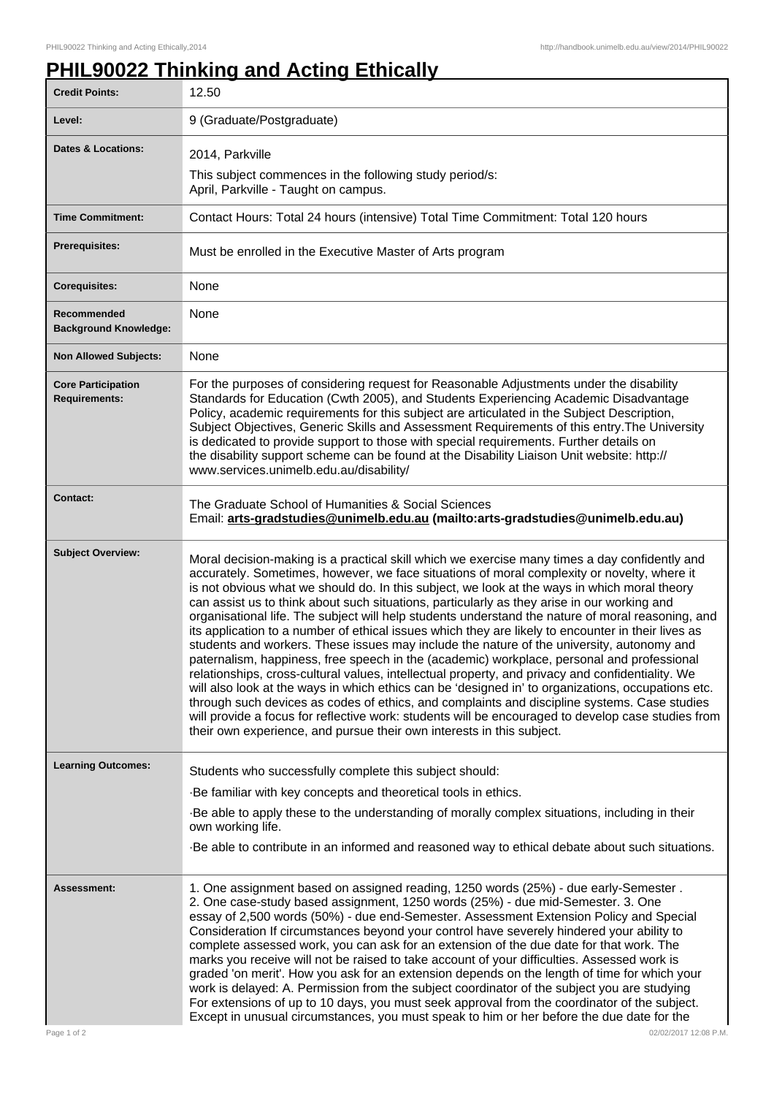٦

## **PHIL90022 Thinking and Acting Ethically**

| <b>Credit Points:</b>                       | 12.50                                                                                                                                                                                                                                                                                                                                                                                                                                                                                                                                                                                                                                                                                                                                                                                                                                                                                                                                                                                                                                                                                                                                                                                                                                                                                      |
|---------------------------------------------|--------------------------------------------------------------------------------------------------------------------------------------------------------------------------------------------------------------------------------------------------------------------------------------------------------------------------------------------------------------------------------------------------------------------------------------------------------------------------------------------------------------------------------------------------------------------------------------------------------------------------------------------------------------------------------------------------------------------------------------------------------------------------------------------------------------------------------------------------------------------------------------------------------------------------------------------------------------------------------------------------------------------------------------------------------------------------------------------------------------------------------------------------------------------------------------------------------------------------------------------------------------------------------------------|
| Level:                                      | 9 (Graduate/Postgraduate)                                                                                                                                                                                                                                                                                                                                                                                                                                                                                                                                                                                                                                                                                                                                                                                                                                                                                                                                                                                                                                                                                                                                                                                                                                                                  |
| <b>Dates &amp; Locations:</b>               | 2014, Parkville                                                                                                                                                                                                                                                                                                                                                                                                                                                                                                                                                                                                                                                                                                                                                                                                                                                                                                                                                                                                                                                                                                                                                                                                                                                                            |
|                                             | This subject commences in the following study period/s:<br>April, Parkville - Taught on campus.                                                                                                                                                                                                                                                                                                                                                                                                                                                                                                                                                                                                                                                                                                                                                                                                                                                                                                                                                                                                                                                                                                                                                                                            |
| <b>Time Commitment:</b>                     | Contact Hours: Total 24 hours (intensive) Total Time Commitment: Total 120 hours                                                                                                                                                                                                                                                                                                                                                                                                                                                                                                                                                                                                                                                                                                                                                                                                                                                                                                                                                                                                                                                                                                                                                                                                           |
| <b>Prerequisites:</b>                       | Must be enrolled in the Executive Master of Arts program                                                                                                                                                                                                                                                                                                                                                                                                                                                                                                                                                                                                                                                                                                                                                                                                                                                                                                                                                                                                                                                                                                                                                                                                                                   |
| <b>Corequisites:</b>                        | None                                                                                                                                                                                                                                                                                                                                                                                                                                                                                                                                                                                                                                                                                                                                                                                                                                                                                                                                                                                                                                                                                                                                                                                                                                                                                       |
| Recommended<br><b>Background Knowledge:</b> | None                                                                                                                                                                                                                                                                                                                                                                                                                                                                                                                                                                                                                                                                                                                                                                                                                                                                                                                                                                                                                                                                                                                                                                                                                                                                                       |
| <b>Non Allowed Subjects:</b>                | None                                                                                                                                                                                                                                                                                                                                                                                                                                                                                                                                                                                                                                                                                                                                                                                                                                                                                                                                                                                                                                                                                                                                                                                                                                                                                       |
| <b>Core Participation</b><br>Requirements:  | For the purposes of considering request for Reasonable Adjustments under the disability<br>Standards for Education (Cwth 2005), and Students Experiencing Academic Disadvantage<br>Policy, academic requirements for this subject are articulated in the Subject Description,<br>Subject Objectives, Generic Skills and Assessment Requirements of this entry. The University<br>is dedicated to provide support to those with special requirements. Further details on<br>the disability support scheme can be found at the Disability Liaison Unit website: http://<br>www.services.unimelb.edu.au/disability/                                                                                                                                                                                                                                                                                                                                                                                                                                                                                                                                                                                                                                                                           |
| <b>Contact:</b>                             | The Graduate School of Humanities & Social Sciences<br>Email: arts-gradstudies@unimelb.edu.au (mailto: arts-gradstudies@unimelb.edu.au)                                                                                                                                                                                                                                                                                                                                                                                                                                                                                                                                                                                                                                                                                                                                                                                                                                                                                                                                                                                                                                                                                                                                                    |
| <b>Subject Overview:</b>                    | Moral decision-making is a practical skill which we exercise many times a day confidently and<br>accurately. Sometimes, however, we face situations of moral complexity or novelty, where it<br>is not obvious what we should do. In this subject, we look at the ways in which moral theory<br>can assist us to think about such situations, particularly as they arise in our working and<br>organisational life. The subject will help students understand the nature of moral reasoning, and<br>its application to a number of ethical issues which they are likely to encounter in their lives as<br>students and workers. These issues may include the nature of the university, autonomy and<br>paternalism, happiness, free speech in the (academic) workplace, personal and professional<br>relationships, cross-cultural values, intellectual property, and privacy and confidentiality. We<br>will also look at the ways in which ethics can be 'designed in' to organizations, occupations etc.<br>through such devices as codes of ethics, and complaints and discipline systems. Case studies<br>will provide a focus for reflective work: students will be encouraged to develop case studies from<br>their own experience, and pursue their own interests in this subject. |
| <b>Learning Outcomes:</b>                   | Students who successfully complete this subject should:                                                                                                                                                                                                                                                                                                                                                                                                                                                                                                                                                                                                                                                                                                                                                                                                                                                                                                                                                                                                                                                                                                                                                                                                                                    |
|                                             | -Be familiar with key concepts and theoretical tools in ethics.<br>-Be able to apply these to the understanding of morally complex situations, including in their                                                                                                                                                                                                                                                                                                                                                                                                                                                                                                                                                                                                                                                                                                                                                                                                                                                                                                                                                                                                                                                                                                                          |
|                                             | own working life.<br>-Be able to contribute in an informed and reasoned way to ethical debate about such situations.                                                                                                                                                                                                                                                                                                                                                                                                                                                                                                                                                                                                                                                                                                                                                                                                                                                                                                                                                                                                                                                                                                                                                                       |
|                                             |                                                                                                                                                                                                                                                                                                                                                                                                                                                                                                                                                                                                                                                                                                                                                                                                                                                                                                                                                                                                                                                                                                                                                                                                                                                                                            |
| Assessment:                                 | 1. One assignment based on assigned reading, 1250 words (25%) - due early-Semester.<br>2. One case-study based assignment, 1250 words (25%) - due mid-Semester. 3. One<br>essay of 2,500 words (50%) - due end-Semester. Assessment Extension Policy and Special<br>Consideration If circumstances beyond your control have severely hindered your ability to<br>complete assessed work, you can ask for an extension of the due date for that work. The<br>marks you receive will not be raised to take account of your difficulties. Assessed work is<br>graded 'on merit'. How you ask for an extension depends on the length of time for which your<br>work is delayed: A. Permission from the subject coordinator of the subject you are studying<br>For extensions of up to 10 days, you must seek approval from the coordinator of the subject.<br>Except in unusual circumstances, you must speak to him or her before the due date for the                                                                                                                                                                                                                                                                                                                                        |